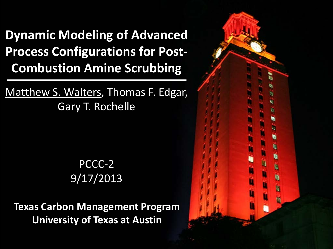**Dynamic Modeling of Advanced Process Configurations for Post-Combustion Amine Scrubbing**

Matthew S. Walters, Thomas F. Edgar, Gary T. Rochelle

> PCCC-2 9/17/2013

**Texas Carbon Management Program University of Texas at Austin**

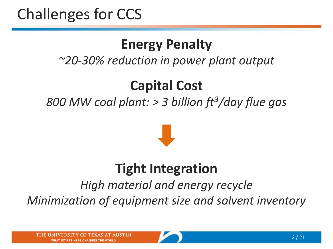# Challenges for CCS

#### **Energy Penalty**

#### *~20-30% reduction in power plant output*

#### **Capital Cost**

*800 MW coal plant: > 3 billion ft3/day flue gas*



#### **Tight Integration**

*High material and energy recycle Minimization of equipment size and solvent inventory*

**WHAT STARTS HERE CHANGES THE WORLD** 

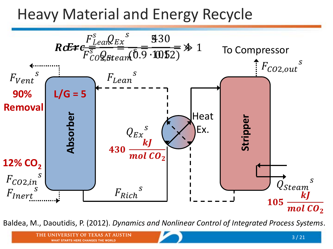### Heavy Material and Energy Recycle



Baldea, M., Daoutidis, P. (2012). *Dynamics and Nonlinear Control of Integrated Process Systems*.

**WHAT STARTS HERE CHANGES THE WORLD**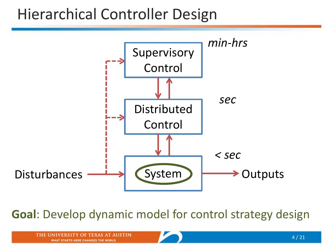#### Hierarchical Controller Design



**Goal**: Develop dynamic model for control strategy design

**OF TEXAS AT AUSTIN THE UN WHAT STARTS HERE CHANGES THE WORLD** 

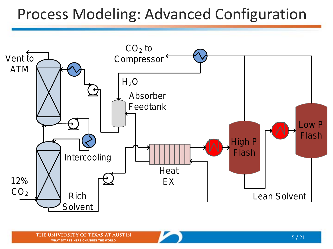## Process Modeling: Advanced Configuration

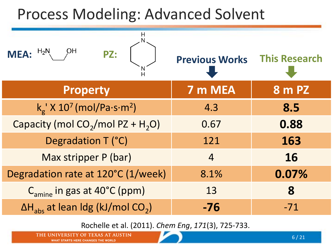# Process Modeling: Advanced Solvent



Rochelle et al. (2011). *Chem Eng*, *171*(3), 725-733.

THE UNIVERSITY OF TEXAS AT **WHAT STARTS HERE CHANGES THE WORLD**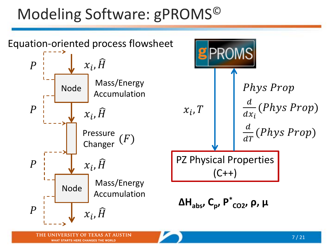# Modeling Software: gPROMS©



**WHAT STARTS HERE CHANGES THE WORLD**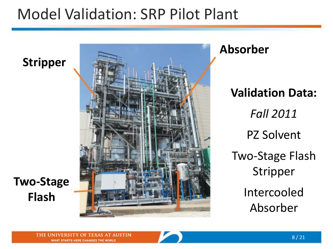#### Model Validation: SRP Pilot Plant

**Stripper**



**Two-Stage Flash**

**Validation Data:** *Fall 2011* PZ Solvent Two-Stage Flash Stripper Intercooled Absorber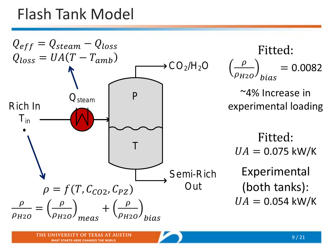## Flash Tank Model

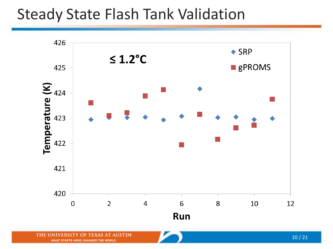#### Steady State Flash Tank Validation



THE UNIVERSITY OF TEXAS AT AUSTIN WHAT STARTS HERE CHANGES THE WORLD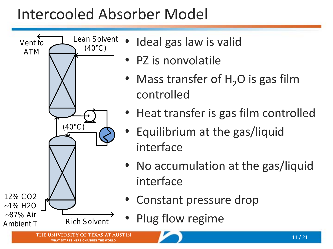# Intercooled Absorber Model



**WHAT STARTS HERE CHANGES THE WORLD** 

- Ideal gas law is valid
- PZ is nonvolatile
- Mass transfer of  $H_2O$  is gas film controlled
- Heat transfer is gas film controlled
- Equilibrium at the gas/liquid interface
- No accumulation at the gas/liquid interface
	- Constant pressure drop
		- Plug flow regime

11 / 21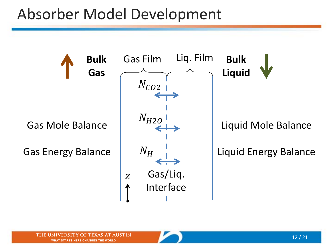# Absorber Model Development

 $N_{CO2}$  $N_{H2O}$ Gas Mole Balance  $N_H$ Gas Energy Balance  $\boldsymbol{Z}$ 

**Bulk** 

**Gas**

Gas/Liq. Interface

Gas Film Liq. Film

**Bulk Liquid**

Liquid Mole Balance

Liquid Energy Balance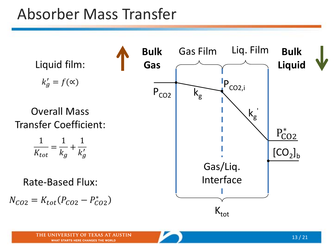## Absorber Mass Transfer

Liquid film:  $k'_g = f(\infty)$ **Overall Mass** 

**Transfer Coefficient:** 

$$
\frac{1}{K_{tot}} = \frac{1}{k_g} + \frac{1}{k'_g}
$$

**Rate-Based Flux:** 

$$
N_{CO2} = K_{tot}(P_{CO2} - P_{CO2}^*)
$$

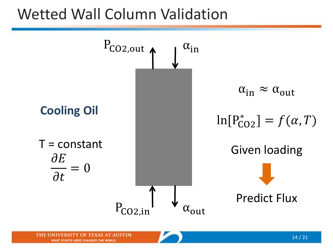#### Wetted Wall Column Validation

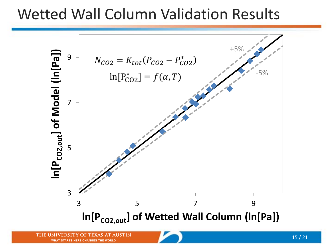#### Wetted Wall Column Validation Results

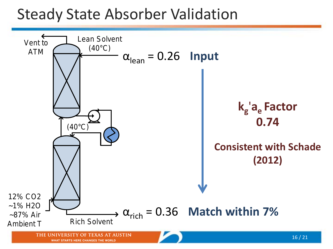#### Steady State Absorber Validation

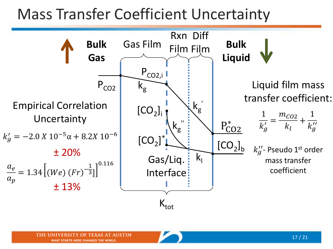# Mass Transfer Coefficient Uncertainty

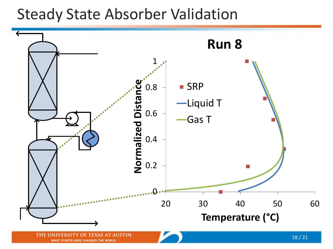#### Steady State Absorber Validation

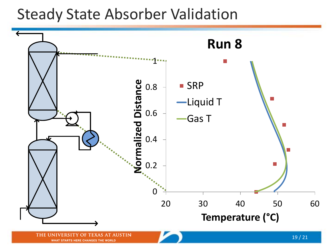#### Steady State Absorber Validation



WHAT STARTS HERE CHANGES THE WORLD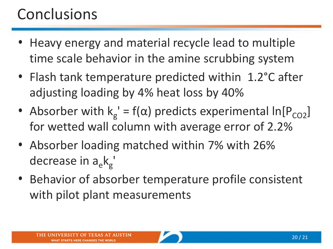# **Conclusions**

- Heavy energy and material recycle lead to multiple time scale behavior in the amine scrubbing system
- Flash tank temperature predicted within 1.2°C after adjusting loading by 4% heat loss by 40%
- Absorber with  $k_g' = f(\alpha)$  predicts experimental ln[P<sub>CO2</sub>] for wetted wall column with average error of 2.2%
- Absorber loading matched within 7% with 26% decrease in  $a_e k_g$
- Behavior of absorber temperature profile consistent with pilot plant measurements